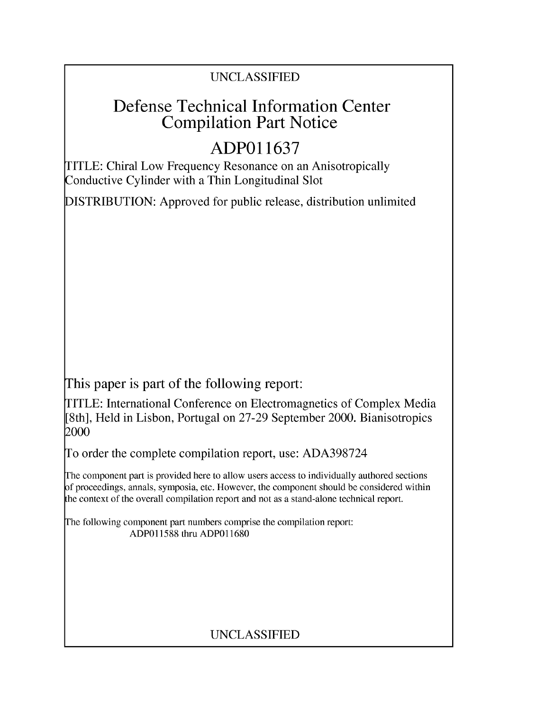### UNCLASSIFIED

## Defense Technical Information Center Compilation Part Notice

# **ADPO1 1637**

TITLE: Chiral Low Frequency Resonance on an Anisotropically Conductive Cylinder with a Thin Longitudinal Slot

DISTRIBUTION: Approved for public release, distribution unlimited

This paper is part of the following report:

TITLE: International Conference on Electromagnetics of Complex Media [8th], Held in Lisbon, Portugal on 27-29 September 2000. Bianisotropics 2000

To order the complete compilation report, use: ADA398724

The component part is provided here to allow users access to individually authored sections f proceedings, annals, symposia, etc. However, the component should be considered within [he context of the overall compilation report and not as a stand-alone technical report.

The following component part numbers comprise the compilation report: ADP011588 thru ADP011680

### UNCLASSIFIED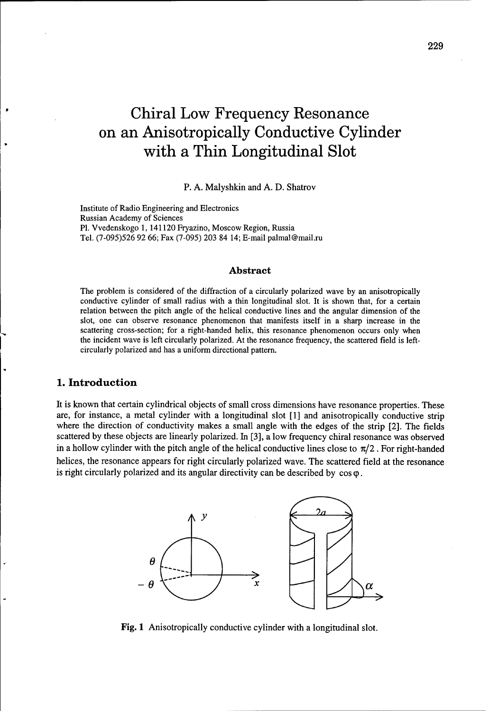# Chiral Low Frequency Resonance on an Anisotropically Conductive Cylinder with a Thin Longitudinal Slot

P. A. Malyshkin and A. D. Shatrov

Institute of Radio Engineering and Electronics Russian Academy of Sciences P1. Vvedenskogo 1, 141120 Fryazino, Moscow Region, Russia Tel. (7-095)526 92 66; Fax (7-095) 203 84 14; E-mail palmal@mail.ru

#### Abstract

The problem is considered of the diffraction of a circularly polarized wave by an anisotropically conductive cylinder of small radius with a thin longitudinal slot. It is shown that, for a certain relation between the pitch angle of the helical conductive lines and the angular dimension of the slot, one can observe resonance phenomenon that manifests itself in a sharp increase in the scattering cross-section; for a right-handed helix, this resonance phenomenon occurs only when the incident wave is left circularly polarized. At the resonance frequency, the scattered field is leftcircularly polarized and has a uniform directional pattern.

#### **1.** Introduction

It is known that certain cylindrical objects of small cross dimensions have resonance properties. These are, for instance, a metal cylinder with a longitudinal slot [1] and anisotropically conductive strip where the direction of conductivity makes a small angle with the edges of the strip [2]. The fields scattered by these objects are linearly polarized. In [3], a low frequency chiral resonance was observed in a hollow cylinder with the pitch angle of the helical conductive lines close to  $\pi/2$ . For right-handed helices, the resonance appears for right circularly polarized wave. The scattered field at the resonance is right circularly polarized and its angular directivity can be described by  $\cos \varphi$ .



Fig. 1 Anisotropically conductive cylinder with a longitudinal slot.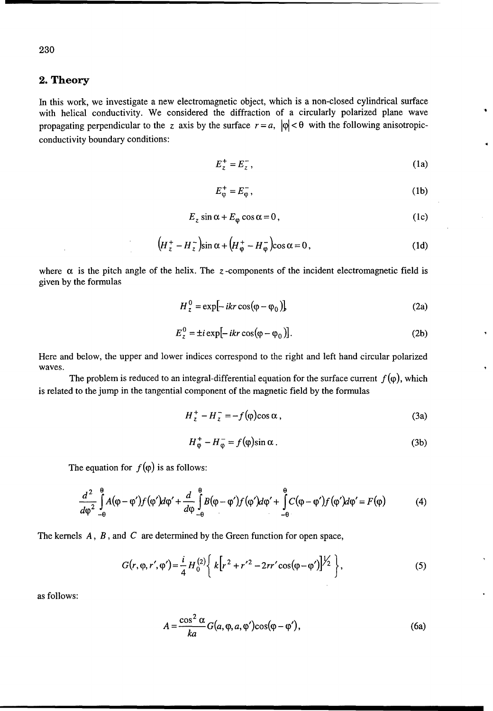#### 2. Theory

In this work, we investigate a new electromagnetic object, which is a non-closed cylindrical surface with helical conductivity. We considered the diffraction of a circularly polarized plane wave propagating perpendicular to the z axis by the surface  $r = a$ ,  $|\varphi| < \theta$  with the following anisotropicconductivity boundary conditions:

$$
E_z^+ = E_z^-,\tag{1a}
$$

$$
E_{\varphi}^{+} = E_{\varphi}^{-},\tag{1b}
$$

$$
E_z \sin \alpha + E_\varphi \cos \alpha = 0, \qquad (1c)
$$

$$
\left(H_z^+ - H_z^-\right)\sin\alpha + \left(H_{\varphi}^+ - H_{\varphi}^-\right)\cos\alpha = 0\,,\tag{1d}
$$

where  $\alpha$  is the pitch angle of the helix. The z-components of the incident electromagnetic field is given by the formulas

$$
H_z^0 = \exp[-ikr\cos(\varphi - \varphi_0)]
$$
 (2a)

$$
E_z^0 = \pm i \exp[-ikr \cos(\varphi - \varphi_0)].
$$
 (2b)

Here and below, the upper and lower indices correspond to the right and left hand circular polarized waves.

The problem is reduced to an integral-differential equation for the surface current  $f(\varphi)$ , which is related to the jump in the tangential component of the magnetic field by the formulas

$$
H_z^+ - H_z^- = -f(\varphi)\cos\alpha\,,\tag{3a}
$$

$$
H_{\varphi}^{+} - H_{\varphi}^{-} = f(\varphi)\sin\alpha.
$$
 (3b)

The equation for  $f(\varphi)$  is as follows:

$$
\frac{d^2}{d\varphi^2} \int_{-\theta}^{\theta} A(\varphi - \varphi') f(\varphi') d\varphi' + \frac{d}{d\varphi} \int_{-\theta}^{\theta} B(\varphi - \varphi') f(\varphi') d\varphi' + \int_{-\theta}^{\theta} C(\varphi - \varphi') f(\varphi') d\varphi' = F(\varphi)
$$
(4)

The kernels A, *B,* and *C* are determined by the Green function for open space,

$$
G(r, \varphi, r', \varphi') = \frac{i}{4} H_0^{(2)} \left\{ k \left[ r^2 + r'^2 - 2rr' \cos(\varphi - \varphi') \right]^{1/2} \right\},\tag{5}
$$

as follows:

$$
A = \frac{\cos^2 \alpha}{ka} G(a, \varphi, a, \varphi') \cos(\varphi - \varphi'), \tag{6a}
$$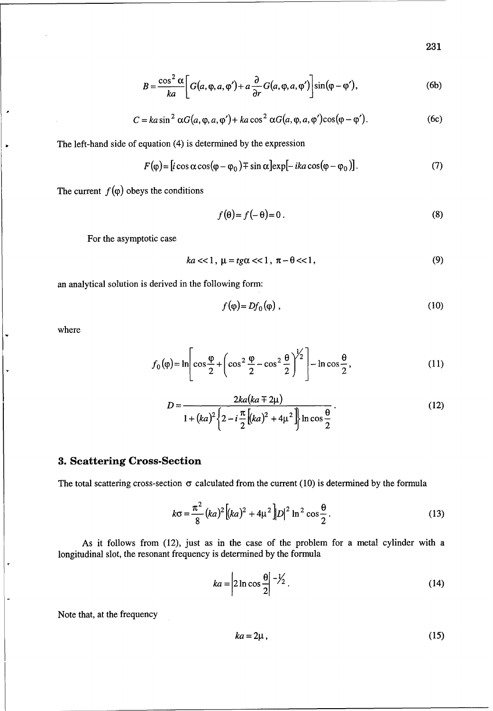**231**

$$
B = \frac{\cos^2 \alpha}{ka} \bigg[ G(a, \varphi, a, \varphi') + a \frac{\partial}{\partial r} G(a, \varphi, a, \varphi') \bigg] \sin(\varphi - \varphi'), \tag{6b}
$$

$$
C = ka \sin^2 \alpha G(a, \varphi, a, \varphi') + ka \cos^2 \alpha G(a, \varphi, a, \varphi') \cos(\varphi - \varphi').
$$
 (6c)

The left-hand side of equation (4) is determined by the expression

$$
F(\varphi) = [i\cos\alpha\cos(\varphi - \varphi_0) \mp \sin\alpha] \exp[-ika\cos(\varphi - \varphi_0)].
$$
 (7)

The current  $f(\varphi)$  obeys the conditions

$$
f(\theta) = f(-\theta) = 0.
$$
 (8)

For the asymptotic case

$$
ka << 1, \mu = t g \alpha << 1, \pi - \theta << 1,
$$
\n(9)

an analytical solution is derived in the following form:

$$
f(\varphi) = Df_0(\varphi) \tag{10}
$$

where

 $\overline{\phantom{a}}$ 

 $\ddot{\phantom{0}}$ 

$$
f_0(\varphi) = \ln \left[ \cos \frac{\varphi}{2} + \left( \cos^2 \frac{\varphi}{2} - \cos^2 \frac{\theta}{2} \right)^{1/2} \right] - \ln \cos \frac{\theta}{2}, \tag{11}
$$

$$
D = \frac{2ka(ka \pm 2\mu)}{1 + (ka)^2 \left\{ 2 - i\frac{\pi}{2} \left[ (ka)^2 + 4\mu^2 \right] \right\} \ln \cos \frac{\theta}{2}}.
$$
 (12)

#### **3.** Scattering Cross-Section

The total scattering cross-section  $\sigma$  calculated from the current (10) is determined by the formula

$$
k\sigma = \frac{\pi^2}{8}(ka)^2 \left[ (ka)^2 + 4\mu^2 \right] |D|^2 \ln^2 \cos \frac{\theta}{2}.
$$
 (13)

As it follows from (12), just as in the case of the problem for a metal cylinder with a longitudinal slot, the resonant frequency is determined by the formula

$$
ka = \left| 2 \ln \cos \frac{\theta}{2} \right|^{-1/2}.
$$
 (14)

Note that, at the frequency

$$
ka = 2\mu, \tag{15}
$$